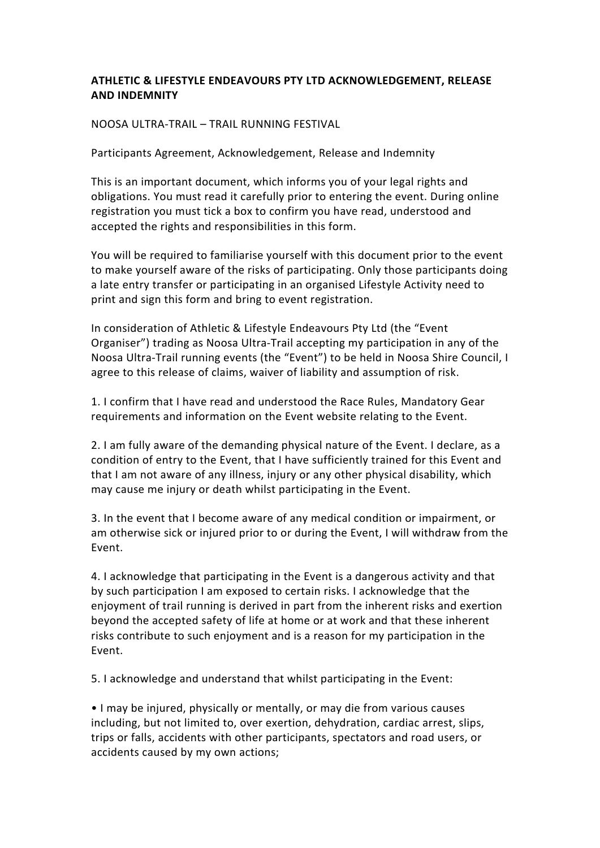## **ATHLETIC & LIFESTYLE ENDEAVOURS PTY LTD ACKNOWLEDGEMENT, RELEASE AND INDEMNITY**

## NOOSA ULTRA-TRAIL – TRAIL RUNNING FESTIVAL

Participants Agreement, Acknowledgement, Release and Indemnity

This is an important document, which informs you of your legal rights and obligations. You must read it carefully prior to entering the event. During online registration you must tick a box to confirm you have read, understood and accepted the rights and responsibilities in this form.

You will be required to familiarise yourself with this document prior to the event to make yourself aware of the risks of participating. Only those participants doing a late entry transfer or participating in an organised Lifestyle Activity need to print and sign this form and bring to event registration.

In consideration of Athletic & Lifestyle Endeavours Pty Ltd (the "Event" Organiser") trading as Noosa Ultra-Trail accepting my participation in any of the Noosa Ultra-Trail running events (the "Event") to be held in Noosa Shire Council, I agree to this release of claims, waiver of liability and assumption of risk.

1. I confirm that I have read and understood the Race Rules, Mandatory Gear requirements and information on the Event website relating to the Event.

2. I am fully aware of the demanding physical nature of the Event. I declare, as a condition of entry to the Event, that I have sufficiently trained for this Event and that I am not aware of any illness, injury or any other physical disability, which may cause me injury or death whilst participating in the Event.

3. In the event that I become aware of any medical condition or impairment, or am otherwise sick or injured prior to or during the Event, I will withdraw from the Event. 

4. I acknowledge that participating in the Event is a dangerous activity and that by such participation I am exposed to certain risks. I acknowledge that the enjoyment of trail running is derived in part from the inherent risks and exertion beyond the accepted safety of life at home or at work and that these inherent risks contribute to such enjoyment and is a reason for my participation in the Event. 

5. I acknowledge and understand that whilst participating in the Event:

• I may be injured, physically or mentally, or may die from various causes including, but not limited to, over exertion, dehydration, cardiac arrest, slips, trips or falls, accidents with other participants, spectators and road users, or accidents caused by my own actions;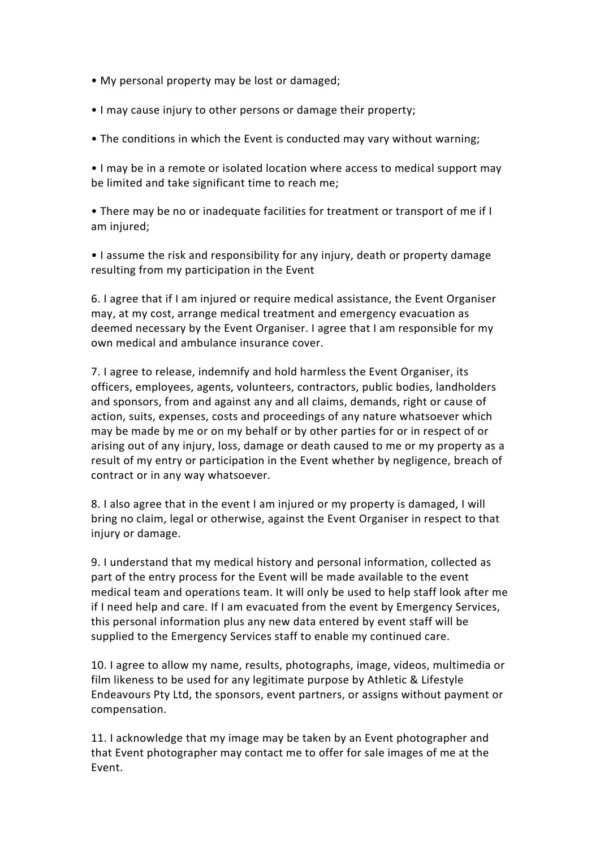- My personal property may be lost or damaged;
- I may cause injury to other persons or damage their property;
- The conditions in which the Event is conducted may vary without warning;

• I may be in a remote or isolated location where access to medical support may be limited and take significant time to reach me;

• There may be no or inadequate facilities for treatment or transport of me if I am injured;

• I assume the risk and responsibility for any injury, death or property damage resulting from my participation in the Event

6. I agree that if I am injured or require medical assistance, the Event Organiser may, at my cost, arrange medical treatment and emergency evacuation as deemed necessary by the Event Organiser. I agree that I am responsible for my own medical and ambulance insurance cover.

7. I agree to release, indemnify and hold harmless the Event Organiser, its officers, employees, agents, volunteers, contractors, public bodies, landholders and sponsors, from and against any and all claims, demands, right or cause of action, suits, expenses, costs and proceedings of any nature whatsoever which may be made by me or on my behalf or by other parties for or in respect of or arising out of any injury, loss, damage or death caused to me or my property as a result of my entry or participation in the Event whether by negligence, breach of contract or in any way whatsoever.

8. I also agree that in the event I am injured or my property is damaged, I will bring no claim, legal or otherwise, against the Event Organiser in respect to that injury or damage.

9. I understand that my medical history and personal information, collected as part of the entry process for the Event will be made available to the event medical team and operations team. It will only be used to help staff look after me if I need help and care. If I am evacuated from the event by Emergency Services, this personal information plus any new data entered by event staff will be supplied to the Emergency Services staff to enable my continued care.

10. I agree to allow my name, results, photographs, image, videos, multimedia or film likeness to be used for any legitimate purpose by Athletic & Lifestyle Endeavours Pty Ltd, the sponsors, event partners, or assigns without payment or compensation. 

11. I acknowledge that my image may be taken by an Event photographer and that Event photographer may contact me to offer for sale images of me at the Event.